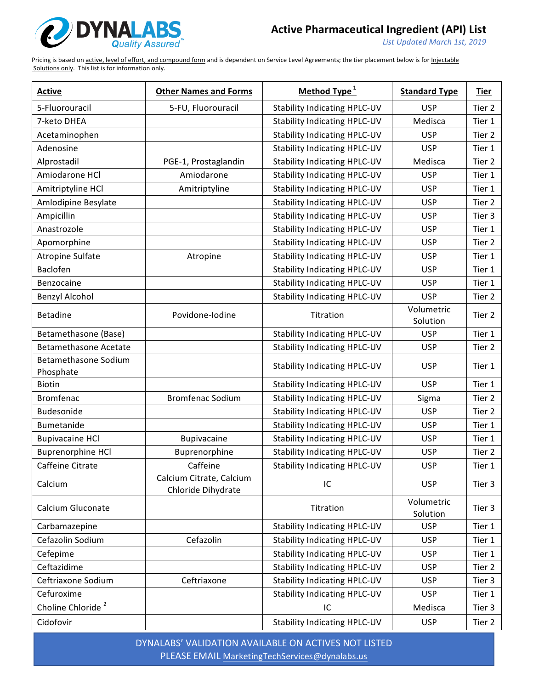

List Updated March 1st, 2019

Pricing is based on active, level of effort, and compound form and is dependent on Service Level Agreements; the tier placement below is for Injectable Solutions only. This list is for information only.

| <b>Active</b>                     | <b>Other Names and Forms</b>                   | Method Type <sup>1</sup>            | <b>Standard Type</b>   | <b>Tier</b> |
|-----------------------------------|------------------------------------------------|-------------------------------------|------------------------|-------------|
| 5-Fluorouracil                    | 5-FU, Fluorouracil                             | <b>Stability Indicating HPLC-UV</b> | <b>USP</b>             | Tier 2      |
| 7-keto DHEA                       |                                                | <b>Stability Indicating HPLC-UV</b> | Medisca                | Tier 1      |
| Acetaminophen                     |                                                | <b>Stability Indicating HPLC-UV</b> | <b>USP</b>             | Tier 2      |
| Adenosine                         |                                                | <b>Stability Indicating HPLC-UV</b> | <b>USP</b>             | Tier 1      |
| Alprostadil                       | PGE-1, Prostaglandin                           | <b>Stability Indicating HPLC-UV</b> | Medisca                | Tier 2      |
| Amiodarone HCl                    | Amiodarone                                     | <b>Stability Indicating HPLC-UV</b> | <b>USP</b>             | Tier 1      |
| Amitriptyline HCl                 | Amitriptyline                                  | <b>Stability Indicating HPLC-UV</b> | <b>USP</b>             | Tier 1      |
| Amlodipine Besylate               |                                                | <b>Stability Indicating HPLC-UV</b> | <b>USP</b>             | Tier 2      |
| Ampicillin                        |                                                | <b>Stability Indicating HPLC-UV</b> | <b>USP</b>             | Tier 3      |
| Anastrozole                       |                                                | <b>Stability Indicating HPLC-UV</b> | <b>USP</b>             | Tier 1      |
| Apomorphine                       |                                                | <b>Stability Indicating HPLC-UV</b> | <b>USP</b>             | Tier 2      |
| <b>Atropine Sulfate</b>           | Atropine                                       | <b>Stability Indicating HPLC-UV</b> | <b>USP</b>             | Tier 1      |
| Baclofen                          |                                                | <b>Stability Indicating HPLC-UV</b> | <b>USP</b>             | Tier 1      |
| Benzocaine                        |                                                | <b>Stability Indicating HPLC-UV</b> | <b>USP</b>             | Tier 1      |
| <b>Benzyl Alcohol</b>             |                                                | <b>Stability Indicating HPLC-UV</b> | <b>USP</b>             | Tier 2      |
| <b>Betadine</b>                   | Povidone-lodine                                | Titration                           | Volumetric<br>Solution | Tier 2      |
| Betamethasone (Base)              |                                                | <b>Stability Indicating HPLC-UV</b> | <b>USP</b>             | Tier 1      |
| <b>Betamethasone Acetate</b>      |                                                | <b>Stability Indicating HPLC-UV</b> | <b>USP</b>             | Tier 2      |
| Betamethasone Sodium<br>Phosphate |                                                | <b>Stability Indicating HPLC-UV</b> | <b>USP</b>             | Tier 1      |
| <b>Biotin</b>                     |                                                | <b>Stability Indicating HPLC-UV</b> | <b>USP</b>             | Tier 1      |
| <b>Bromfenac</b>                  | <b>Bromfenac Sodium</b>                        | <b>Stability Indicating HPLC-UV</b> | Sigma                  | Tier 2      |
| Budesonide                        |                                                | <b>Stability Indicating HPLC-UV</b> | <b>USP</b>             | Tier 2      |
| Bumetanide                        |                                                | <b>Stability Indicating HPLC-UV</b> | <b>USP</b>             | Tier 1      |
| <b>Bupivacaine HCl</b>            | Bupivacaine                                    | <b>Stability Indicating HPLC-UV</b> | <b>USP</b>             | Tier 1      |
| <b>Buprenorphine HCl</b>          | Buprenorphine                                  | <b>Stability Indicating HPLC-UV</b> | <b>USP</b>             | Tier 2      |
| Caffeine Citrate                  | Caffeine                                       | <b>Stability Indicating HPLC-UV</b> | <b>USP</b>             | Tier 1      |
| Calcium                           | Calcium Citrate, Calcium<br>Chloride Dihydrate | IC                                  | <b>USP</b>             | Tier 3      |
| Calcium Gluconate                 |                                                | Titration                           | Volumetric<br>Solution | Tier 3      |
| Carbamazepine                     |                                                | <b>Stability Indicating HPLC-UV</b> | <b>USP</b>             | Tier 1      |
| Cefazolin Sodium                  | Cefazolin                                      | <b>Stability Indicating HPLC-UV</b> | <b>USP</b>             | Tier 1      |
| Cefepime                          |                                                | <b>Stability Indicating HPLC-UV</b> | <b>USP</b>             | Tier 1      |
| Ceftazidime                       |                                                | <b>Stability Indicating HPLC-UV</b> | <b>USP</b>             | Tier 2      |
| Ceftriaxone Sodium                | Ceftriaxone                                    | <b>Stability Indicating HPLC-UV</b> | <b>USP</b>             | Tier 3      |
| Cefuroxime                        |                                                | <b>Stability Indicating HPLC-UV</b> | <b>USP</b>             | Tier 1      |
| Choline Chloride <sup>2</sup>     |                                                | IC                                  | Medisca                | Tier 3      |
| Cidofovir                         |                                                | <b>Stability Indicating HPLC-UV</b> | <b>USP</b>             | Tier 2      |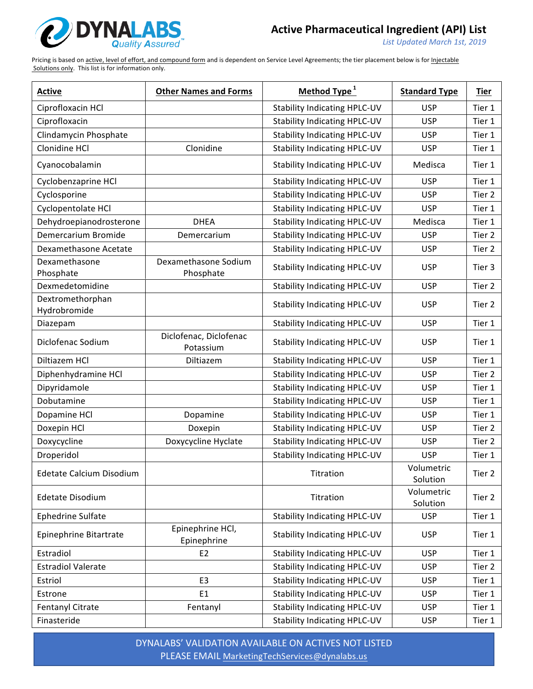

List Updated March 1st, 2019

Pricing is based on active, level of effort, and compound form and is dependent on Service Level Agreements; the tier placement below is for Injectable Solutions only. This list is for information only.

| <b>Active</b>                    | <b>Other Names and Forms</b>        | Method Type <sup>1</sup>            | <b>Standard Type</b>   | <b>Tier</b> |
|----------------------------------|-------------------------------------|-------------------------------------|------------------------|-------------|
| Ciprofloxacin HCl                |                                     | <b>Stability Indicating HPLC-UV</b> | <b>USP</b>             | Tier 1      |
| Ciprofloxacin                    |                                     | <b>Stability Indicating HPLC-UV</b> | <b>USP</b>             | Tier 1      |
| Clindamycin Phosphate            |                                     | <b>Stability Indicating HPLC-UV</b> | <b>USP</b>             | Tier 1      |
| Clonidine HCl                    | Clonidine                           | <b>Stability Indicating HPLC-UV</b> | <b>USP</b>             | Tier 1      |
| Cyanocobalamin                   |                                     | <b>Stability Indicating HPLC-UV</b> | Medisca                | Tier 1      |
| Cyclobenzaprine HCl              |                                     | <b>Stability Indicating HPLC-UV</b> | <b>USP</b>             | Tier 1      |
| Cyclosporine                     |                                     | <b>Stability Indicating HPLC-UV</b> | <b>USP</b>             | Tier 2      |
| Cyclopentolate HCl               |                                     | <b>Stability Indicating HPLC-UV</b> | <b>USP</b>             | Tier 1      |
| Dehydroepianodrosterone          | <b>DHEA</b>                         | <b>Stability Indicating HPLC-UV</b> | Medisca                | Tier 1      |
| Demercarium Bromide              | Demercarium                         | <b>Stability Indicating HPLC-UV</b> | <b>USP</b>             | Tier 2      |
| Dexamethasone Acetate            |                                     | <b>Stability Indicating HPLC-UV</b> | <b>USP</b>             | Tier 2      |
| Dexamethasone<br>Phosphate       | Dexamethasone Sodium<br>Phosphate   | <b>Stability Indicating HPLC-UV</b> | <b>USP</b>             | Tier 3      |
| Dexmedetomidine                  |                                     | <b>Stability Indicating HPLC-UV</b> | <b>USP</b>             | Tier 2      |
| Dextromethorphan<br>Hydrobromide |                                     | <b>Stability Indicating HPLC-UV</b> | <b>USP</b>             | Tier 2      |
| Diazepam                         |                                     | <b>Stability Indicating HPLC-UV</b> | <b>USP</b>             | Tier 1      |
| Diclofenac Sodium                | Diclofenac, Diclofenac<br>Potassium | <b>Stability Indicating HPLC-UV</b> | <b>USP</b>             | Tier 1      |
| Diltiazem HCl                    | Diltiazem                           | <b>Stability Indicating HPLC-UV</b> | <b>USP</b>             | Tier 1      |
| Diphenhydramine HCl              |                                     | <b>Stability Indicating HPLC-UV</b> | <b>USP</b>             | Tier 2      |
| Dipyridamole                     |                                     | <b>Stability Indicating HPLC-UV</b> | <b>USP</b>             | Tier 1      |
| Dobutamine                       |                                     | <b>Stability Indicating HPLC-UV</b> | <b>USP</b>             | Tier 1      |
| Dopamine HCl                     | Dopamine                            | <b>Stability Indicating HPLC-UV</b> | <b>USP</b>             | Tier 1      |
| Doxepin HCl                      | Doxepin                             | <b>Stability Indicating HPLC-UV</b> | <b>USP</b>             | Tier 2      |
| Doxycycline                      | Doxycycline Hyclate                 | <b>Stability Indicating HPLC-UV</b> | <b>USP</b>             | Tier 2      |
| Droperidol                       |                                     | <b>Stability Indicating HPLC-UV</b> | <b>USP</b>             | Tier 1      |
| Edetate Calcium Disodium         |                                     | Titration                           | Volumetric<br>Solution | Tier 2      |
| <b>Edetate Disodium</b>          |                                     | Titration                           | Volumetric<br>Solution | Tier 2      |
| Ephedrine Sulfate                |                                     | <b>Stability Indicating HPLC-UV</b> | <b>USP</b>             | Tier 1      |
| Epinephrine Bitartrate           | Epinephrine HCl,<br>Epinephrine     | <b>Stability Indicating HPLC-UV</b> | <b>USP</b>             | Tier 1      |
| Estradiol                        | E <sub>2</sub>                      | <b>Stability Indicating HPLC-UV</b> | <b>USP</b>             | Tier 1      |
| <b>Estradiol Valerate</b>        |                                     | <b>Stability Indicating HPLC-UV</b> | <b>USP</b>             | Tier 2      |
| Estriol                          | E <sub>3</sub>                      | <b>Stability Indicating HPLC-UV</b> | <b>USP</b>             | Tier 1      |
| Estrone                          | E <sub>1</sub>                      | <b>Stability Indicating HPLC-UV</b> | <b>USP</b>             | Tier 1      |
| Fentanyl Citrate                 | Fentanyl                            | <b>Stability Indicating HPLC-UV</b> | <b>USP</b>             | Tier 1      |
| Finasteride                      |                                     | <b>Stability Indicating HPLC-UV</b> | <b>USP</b>             | Tier 1      |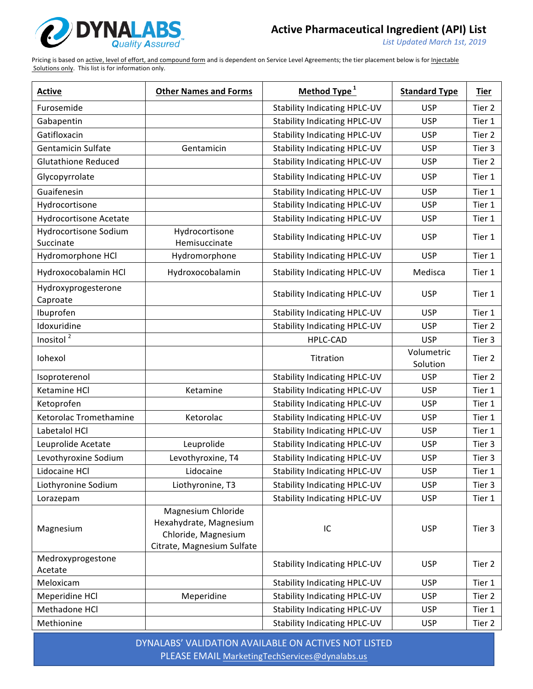

List Updated March 1st, 2019

Pricing is based on active, level of effort, and compound form and is dependent on Service Level Agreements; the tier placement below is for Injectable Solutions only. This list is for information only.

| <b>Active</b>                      | <b>Other Names and Forms</b>                                                                      | Method Type <sup>1</sup>            | <b>Standard Type</b>   | <b>Tier</b> |
|------------------------------------|---------------------------------------------------------------------------------------------------|-------------------------------------|------------------------|-------------|
| Furosemide                         |                                                                                                   | <b>Stability Indicating HPLC-UV</b> | <b>USP</b>             | Tier 2      |
| Gabapentin                         |                                                                                                   | <b>Stability Indicating HPLC-UV</b> | <b>USP</b>             | Tier 1      |
| Gatifloxacin                       |                                                                                                   | <b>Stability Indicating HPLC-UV</b> | <b>USP</b>             | Tier 2      |
| Gentamicin Sulfate                 | Gentamicin                                                                                        | <b>Stability Indicating HPLC-UV</b> | <b>USP</b>             | Tier 3      |
| <b>Glutathione Reduced</b>         |                                                                                                   | <b>Stability Indicating HPLC-UV</b> | <b>USP</b>             | Tier 2      |
| Glycopyrrolate                     |                                                                                                   | <b>Stability Indicating HPLC-UV</b> | <b>USP</b>             | Tier 1      |
| Guaifenesin                        |                                                                                                   | <b>Stability Indicating HPLC-UV</b> | <b>USP</b>             | Tier 1      |
| Hydrocortisone                     |                                                                                                   | Stability Indicating HPLC-UV        | <b>USP</b>             | Tier 1      |
| <b>Hydrocortisone Acetate</b>      |                                                                                                   | <b>Stability Indicating HPLC-UV</b> | <b>USP</b>             | Tier 1      |
| Hydrocortisone Sodium<br>Succinate | Hydrocortisone<br>Hemisuccinate                                                                   | <b>Stability Indicating HPLC-UV</b> | <b>USP</b>             | Tier 1      |
| Hydromorphone HCl                  | Hydromorphone                                                                                     | <b>Stability Indicating HPLC-UV</b> | <b>USP</b>             | Tier 1      |
| Hydroxocobalamin HCl               | Hydroxocobalamin                                                                                  | <b>Stability Indicating HPLC-UV</b> | Medisca                | Tier 1      |
| Hydroxyprogesterone<br>Caproate    |                                                                                                   | <b>Stability Indicating HPLC-UV</b> | <b>USP</b>             | Tier 1      |
| Ibuprofen                          |                                                                                                   | <b>Stability Indicating HPLC-UV</b> | <b>USP</b>             | Tier 1      |
| Idoxuridine                        |                                                                                                   | <b>Stability Indicating HPLC-UV</b> | <b>USP</b>             | Tier 2      |
| Inositol $\sqrt{2}$                |                                                                                                   | <b>HPLC-CAD</b>                     | <b>USP</b>             | Tier 3      |
| Iohexol                            |                                                                                                   | Titration                           | Volumetric<br>Solution | Tier 2      |
| Isoproterenol                      |                                                                                                   | <b>Stability Indicating HPLC-UV</b> | <b>USP</b>             | Tier 2      |
| Ketamine HCl                       | Ketamine                                                                                          | <b>Stability Indicating HPLC-UV</b> | <b>USP</b>             | Tier 1      |
| Ketoprofen                         |                                                                                                   | <b>Stability Indicating HPLC-UV</b> | <b>USP</b>             | Tier 1      |
| Ketorolac Tromethamine             | Ketorolac                                                                                         | <b>Stability Indicating HPLC-UV</b> | <b>USP</b>             | Tier 1      |
| Labetalol HCl                      |                                                                                                   | <b>Stability Indicating HPLC-UV</b> | <b>USP</b>             | Tier 1      |
| Leuprolide Acetate                 | Leuprolide                                                                                        | <b>Stability Indicating HPLC-UV</b> | <b>USP</b>             | Tier 3      |
| Levothyroxine Sodium               | Levothyroxine, T4                                                                                 | <b>Stability Indicating HPLC-UV</b> | <b>USP</b>             | Tier 3      |
| Lidocaine HCl                      | Lidocaine                                                                                         | <b>Stability Indicating HPLC-UV</b> | <b>USP</b>             | Tier 1      |
| Liothyronine Sodium                | Liothyronine, T3                                                                                  | <b>Stability Indicating HPLC-UV</b> | <b>USP</b>             | Tier 3      |
| Lorazepam                          |                                                                                                   | <b>Stability Indicating HPLC-UV</b> | <b>USP</b>             | Tier 1      |
| Magnesium                          | Magnesium Chloride<br>Hexahydrate, Magnesium<br>Chloride, Magnesium<br>Citrate, Magnesium Sulfate | ${\sf IC}$                          | <b>USP</b>             | Tier 3      |
| Medroxyprogestone<br>Acetate       |                                                                                                   | <b>Stability Indicating HPLC-UV</b> | <b>USP</b>             | Tier 2      |
| Meloxicam                          |                                                                                                   | <b>Stability Indicating HPLC-UV</b> | <b>USP</b>             | Tier 1      |
| Meperidine HCl                     | Meperidine                                                                                        | <b>Stability Indicating HPLC-UV</b> | <b>USP</b>             | Tier 2      |
| Methadone HCl                      |                                                                                                   | <b>Stability Indicating HPLC-UV</b> | <b>USP</b>             | Tier 1      |
| Methionine                         |                                                                                                   | <b>Stability Indicating HPLC-UV</b> | <b>USP</b>             | Tier 2      |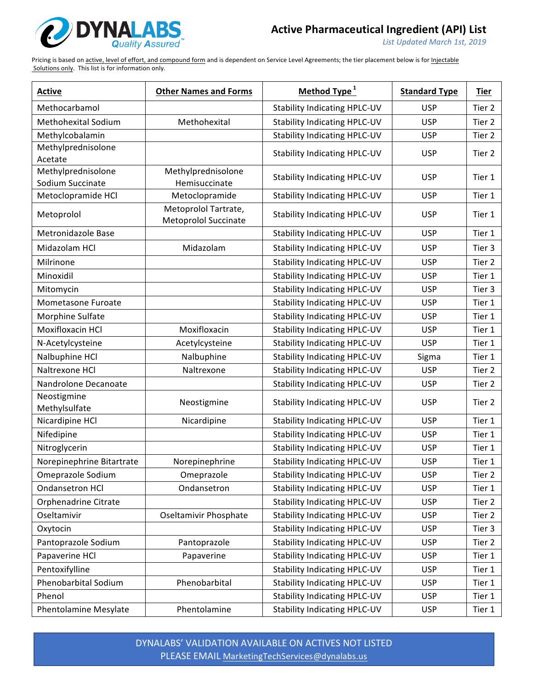

List Updated March 1st, 2019

Pricing is based on active, level of effort, and compound form and is dependent on Service Level Agreements; the tier placement below is for Injectable Solutions only. This list is for information only.

| <b>Active</b>                          | <b>Other Names and Forms</b>    | Method Type <sup>1</sup>            | <b>Standard Type</b> | <b>Tier</b> |
|----------------------------------------|---------------------------------|-------------------------------------|----------------------|-------------|
| Methocarbamol                          |                                 | <b>Stability Indicating HPLC-UV</b> | <b>USP</b>           | Tier 2      |
| <b>Methohexital Sodium</b>             | Methohexital                    | <b>Stability Indicating HPLC-UV</b> | <b>USP</b>           | Tier 2      |
| Methylcobalamin                        |                                 | <b>Stability Indicating HPLC-UV</b> | <b>USP</b>           | Tier 2      |
| Methylprednisolone                     |                                 | <b>Stability Indicating HPLC-UV</b> | <b>USP</b>           | Tier 2      |
| Acetate                                |                                 |                                     |                      |             |
| Methylprednisolone<br>Sodium Succinate | Methylprednisolone              | <b>Stability Indicating HPLC-UV</b> | <b>USP</b>           | Tier 1      |
| Metoclopramide HCl                     | Hemisuccinate<br>Metoclopramide | <b>Stability Indicating HPLC-UV</b> | <b>USP</b>           | Tier 1      |
|                                        | Metoprolol Tartrate,            |                                     |                      |             |
| Metoprolol                             | <b>Metoprolol Succinate</b>     | <b>Stability Indicating HPLC-UV</b> | <b>USP</b>           | Tier 1      |
| Metronidazole Base                     |                                 | <b>Stability Indicating HPLC-UV</b> | <b>USP</b>           | Tier 1      |
| Midazolam HCl                          | Midazolam                       | <b>Stability Indicating HPLC-UV</b> | <b>USP</b>           | Tier 3      |
| Milrinone                              |                                 | <b>Stability Indicating HPLC-UV</b> | <b>USP</b>           | Tier 2      |
| Minoxidil                              |                                 | <b>Stability Indicating HPLC-UV</b> | <b>USP</b>           | Tier 1      |
| Mitomycin                              |                                 | <b>Stability Indicating HPLC-UV</b> | <b>USP</b>           | Tier 3      |
| Mometasone Furoate                     |                                 | <b>Stability Indicating HPLC-UV</b> | <b>USP</b>           | Tier 1      |
| Morphine Sulfate                       |                                 | <b>Stability Indicating HPLC-UV</b> | <b>USP</b>           | Tier 1      |
| Moxifloxacin HCl                       | Moxifloxacin                    | <b>Stability Indicating HPLC-UV</b> | <b>USP</b>           | Tier 1      |
| N-Acetylcysteine                       | Acetylcysteine                  | <b>Stability Indicating HPLC-UV</b> | <b>USP</b>           | Tier 1      |
| Nalbuphine HCl                         | Nalbuphine                      | <b>Stability Indicating HPLC-UV</b> | Sigma                | Tier 1      |
| Naltrexone HCl                         | Naltrexone                      | <b>Stability Indicating HPLC-UV</b> | <b>USP</b>           | Tier 2      |
| Nandrolone Decanoate                   |                                 | <b>Stability Indicating HPLC-UV</b> | <b>USP</b>           | Tier 2      |
| Neostigmine<br>Methylsulfate           | Neostigmine                     | <b>Stability Indicating HPLC-UV</b> | <b>USP</b>           | Tier 2      |
| Nicardipine HCl                        | Nicardipine                     | <b>Stability Indicating HPLC-UV</b> | <b>USP</b>           | Tier 1      |
| Nifedipine                             |                                 | <b>Stability Indicating HPLC-UV</b> | <b>USP</b>           | Tier 1      |
| Nitroglycerin                          |                                 | <b>Stability Indicating HPLC-UV</b> | <b>USP</b>           | Tier 1      |
| Norepinephrine Bitartrate              | Norepinephrine                  | <b>Stability Indicating HPLC-UV</b> | <b>USP</b>           | Tier 1      |
| Omeprazole Sodium                      | Omeprazole                      | <b>Stability Indicating HPLC-UV</b> | <b>USP</b>           | Tier 2      |
| <b>Ondansetron HCl</b>                 | Ondansetron                     | <b>Stability Indicating HPLC-UV</b> | <b>USP</b>           | Tier 1      |
| Orphenadrine Citrate                   |                                 | <b>Stability Indicating HPLC-UV</b> | <b>USP</b>           | Tier 2      |
| Oseltamivir                            | Oseltamivir Phosphate           | <b>Stability Indicating HPLC-UV</b> | <b>USP</b>           | Tier 2      |
| Oxytocin                               |                                 | <b>Stability Indicating HPLC-UV</b> | <b>USP</b>           | Tier 3      |
| Pantoprazole Sodium                    | Pantoprazole                    | <b>Stability Indicating HPLC-UV</b> | <b>USP</b>           | Tier 2      |
| Papaverine HCl                         | Papaverine                      | <b>Stability Indicating HPLC-UV</b> | <b>USP</b>           | Tier 1      |
| Pentoxifylline                         |                                 | <b>Stability Indicating HPLC-UV</b> | <b>USP</b>           | Tier 1      |
| Phenobarbital Sodium                   | Phenobarbital                   | <b>Stability Indicating HPLC-UV</b> | <b>USP</b>           | Tier 1      |
| Phenol                                 |                                 | <b>Stability Indicating HPLC-UV</b> | <b>USP</b>           | Tier 1      |
| Phentolamine Mesylate                  | Phentolamine                    | <b>Stability Indicating HPLC-UV</b> | <b>USP</b>           | Tier 1      |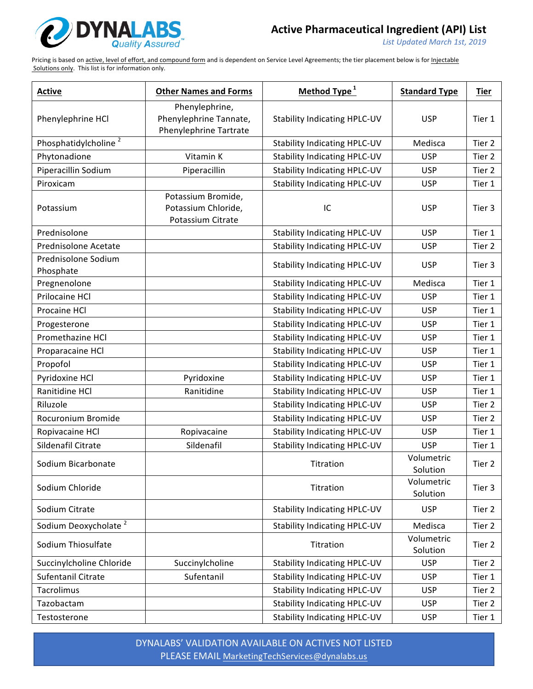

List Updated March 1st, 2019

Pricing is based on active, level of effort, and compound form and is dependent on Service Level Agreements; the tier placement below is for Injectable Solutions only. This list is for information only.

| <b>Active</b>                    | <b>Other Names and Forms</b>                                       | Method Type <sup>1</sup>            | <b>Standard Type</b>   | <b>Tier</b> |
|----------------------------------|--------------------------------------------------------------------|-------------------------------------|------------------------|-------------|
| Phenylephrine HCl                | Phenylephrine,<br>Phenylephrine Tannate,<br>Phenylephrine Tartrate | <b>Stability Indicating HPLC-UV</b> | <b>USP</b>             | Tier 1      |
| Phosphatidylcholine <sup>2</sup> |                                                                    | <b>Stability Indicating HPLC-UV</b> | Medisca                | Tier 2      |
| Phytonadione                     | Vitamin K                                                          | <b>Stability Indicating HPLC-UV</b> | <b>USP</b>             | Tier 2      |
| Piperacillin Sodium              | Piperacillin                                                       | <b>Stability Indicating HPLC-UV</b> | <b>USP</b>             | Tier 2      |
| Piroxicam                        |                                                                    | <b>Stability Indicating HPLC-UV</b> | <b>USP</b>             | Tier 1      |
| Potassium                        | Potassium Bromide,<br>Potassium Chloride,<br>Potassium Citrate     | IC                                  | <b>USP</b>             | Tier 3      |
| Prednisolone                     |                                                                    | <b>Stability Indicating HPLC-UV</b> | <b>USP</b>             | Tier 1      |
| Prednisolone Acetate             |                                                                    | <b>Stability Indicating HPLC-UV</b> | <b>USP</b>             | Tier 2      |
| Prednisolone Sodium<br>Phosphate |                                                                    | <b>Stability Indicating HPLC-UV</b> | <b>USP</b>             | Tier 3      |
| Pregnenolone                     |                                                                    | <b>Stability Indicating HPLC-UV</b> | Medisca                | Tier 1      |
| Prilocaine HCl                   |                                                                    | <b>Stability Indicating HPLC-UV</b> | <b>USP</b>             | Tier 1      |
| Procaine HCl                     |                                                                    | <b>Stability Indicating HPLC-UV</b> | <b>USP</b>             | Tier 1      |
| Progesterone                     |                                                                    | <b>Stability Indicating HPLC-UV</b> | <b>USP</b>             | Tier 1      |
| Promethazine HCl                 |                                                                    | <b>Stability Indicating HPLC-UV</b> | <b>USP</b>             | Tier 1      |
| Proparacaine HCl                 |                                                                    | <b>Stability Indicating HPLC-UV</b> | <b>USP</b>             | Tier 1      |
| Propofol                         |                                                                    | <b>Stability Indicating HPLC-UV</b> | <b>USP</b>             | Tier 1      |
| Pyridoxine HCl                   | Pyridoxine                                                         | <b>Stability Indicating HPLC-UV</b> | <b>USP</b>             | Tier 1      |
| Ranitidine HCl                   | Ranitidine                                                         | <b>Stability Indicating HPLC-UV</b> | <b>USP</b>             | Tier 1      |
| Riluzole                         |                                                                    | <b>Stability Indicating HPLC-UV</b> | <b>USP</b>             | Tier 2      |
| Rocuronium Bromide               |                                                                    | <b>Stability Indicating HPLC-UV</b> | <b>USP</b>             | Tier 2      |
| Ropivacaine HCl                  | Ropivacaine                                                        | <b>Stability Indicating HPLC-UV</b> | <b>USP</b>             | Tier 1      |
| Sildenafil Citrate               | Sildenafil                                                         | <b>Stability Indicating HPLC-UV</b> | <b>USP</b>             | Tier 1      |
| Sodium Bicarbonate               |                                                                    | Titration                           | Volumetric<br>Solution | Tier 2      |
| Sodium Chloride                  |                                                                    | Titration                           | Volumetric<br>Solution | Tier 3      |
| Sodium Citrate                   |                                                                    | <b>Stability Indicating HPLC-UV</b> | <b>USP</b>             | Tier 2      |
| Sodium Deoxycholate <sup>2</sup> |                                                                    | <b>Stability Indicating HPLC-UV</b> | Medisca                | Tier 2      |
| Sodium Thiosulfate               |                                                                    | Titration                           | Volumetric<br>Solution | Tier 2      |
| Succinylcholine Chloride         | Succinylcholine                                                    | <b>Stability Indicating HPLC-UV</b> | <b>USP</b>             | Tier 2      |
| Sufentanil Citrate               | Sufentanil                                                         | <b>Stability Indicating HPLC-UV</b> | <b>USP</b>             | Tier 1      |
| Tacrolimus                       |                                                                    | <b>Stability Indicating HPLC-UV</b> | <b>USP</b>             | Tier 2      |
| Tazobactam                       |                                                                    | <b>Stability Indicating HPLC-UV</b> | <b>USP</b>             | Tier 2      |
| Testosterone                     |                                                                    | <b>Stability Indicating HPLC-UV</b> | <b>USP</b>             | Tier 1      |